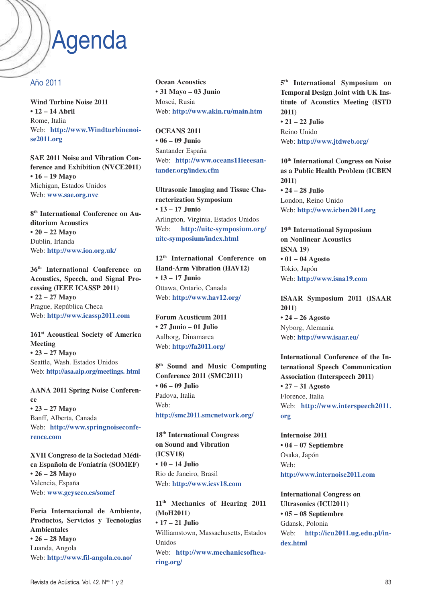## Agenda

#### Año 2011

**Wind Turbine Noise 2011 • 12 – 14 Abril** Rome, Italia Web: **http://www.Windturbinenoise2011.org**

**SAE 2011 Noise and Vibration Conference and Exhibition (NVCE2011) • 16 – 19 Mayo** Michigan, Estados Unidos Web: **www.sae.org.nvc**

**8th International Conference on Auditorium Acoustics • 20 – 22 Mayo** Dublin, Irlanda Web: **http://www.ioa.org.uk/**

**36th International Conference on Acoustics, Speech, and Signal Processing (IEEE ICASSP 2011) • 22 – 27 Mayo** Prague, República Checa Web: **http://www.icassp2011.com**

**161st Acoustical Society of America Meeting • 23 – 27 Mayo** Seattle, Wash. Estados Unidos Web: **http://asa.aip.org/meetings. html**

**AANA 2011 Spring Noise Conference • 23 – 27 Mayo** Banff, Alberta, Canada Web: **http://www.springnoiseconference.com**

**XVII Congreso de la Sociedad Médica Española de Foniatría (SOMEF) • 26 – 28 Mayo** Valencia, España Web: **www.geyseco.es/somef**

**Feria Internacional de Ambiente, Productos, Servicios y Tecnologías Ambientales • 26 – 28 Mayo** Luanda, Angola Web: **http://www.fil-angola.co.ao/**

**Ocean Acoustics • 31 Mayo – 03 Junio** Moscú, Rusia Web: **http://www.akin.ru/main.htm**

**OCEANS 2011 • 06 – 09 Junio** Santander España Web: **http://www.oceans11ieeesantander.org/index.cfm**

**Ultrasonic Imaging and Tissue Characterization Symposium • 13 – 17 Junio** Arlington, Virginia, Estados Unidos Web: **http://uitc-symposium.org/ uitc-symposium/index.html**

**12th International Conference on Hand-Arm Vibration (HAV12) • 13 – 17 Junio** Ottawa, Ontario, Canada Web: **http://www.hav12.org/**

**Forum Acusticum 2011 • 27 Junio – 01 Julio** Aalborg, Dinamarca Web: **http://fa2011.org/**

**8th Sound and Music Computing Conference 2011 (SMC2011) • 06 – 09 Julio** Padova, Italia Web: **http://smc2011.smcnetwork.org/**

**18th International Congress on Sound and Vibration (ICSV18) • 10 – 14 Julio** Rio de Janeiro, Brasil Web: **http://www.icsv18.com**

**11th Mechanics of Hearing 2011 (MoH2011) • 17 – 21 Julio** Williamstown, Massachusetts, Estados Unidos Web: **http://www.mechanicsofhearing.org/**

**5th International Symposium on Temporal Design Joint with UK Institute of Acoustics Meeting (ISTD 2011) • 21 – 22 Julio** Reino Unido Web: **http://www.jtdweb.org/**

**10th International Congress on Noise as a Public Health Problem (ICBEN 2011) • 24 – 28 Julio** London, Reino Unido Web: **http://www.icben2011.org**

**19th International Symposium on Nonlinear Acoustics ISNA 19) • 01 – 04 Agosto** Tokio, Japón Web: **http://www.isna19.com**

**ISAAR Symposium 2011 (ISAAR 2011) • 24 – 26 Agosto** Nyborg, Alemania Web: **http://www.isaar.eu/**

**International Conference of the International Speech Communication Association (Interspeech 2011) • 27 – 31 Agosto** Florence, Italia Web: **http://www.interspeech2011. org**

**Internoise 2011 • 04 – 07 Septiembre** Osaka, Japón Web: **http://www.internoise2011.com**

**International Congress on Ultrasonics (ICU2011) • 05 – 08 Septiembre** Gdansk, Polonia Web: **http://icu2011.ug.edu.pl/index.html**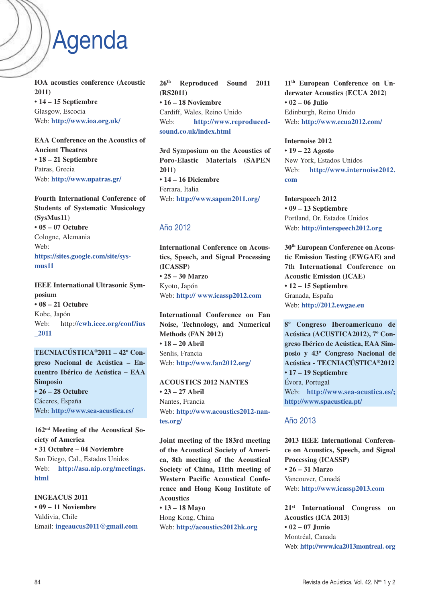# Agenda

**IOA acoustics conference (Acoustic 2011) • 14 – 15 Septiembre** Glasgow, Escocia Web: **http://www.ioa.org.uk/**

**EAA Conference on the Acoustics of Ancient Theatres • 18 – 21 Septiembre** Patras, Grecia Web: **http://www.upatras.gr/**

**Fourth International Conference of Students of Systematic Musicology (SysMus11) • 05 – 07 Octubre** Cologne, Alemania Web: **https://sites.google.com/site/sysmus11**

**IEEE International Ultrasonic Symposium • 08 – 21 Octubre** Kobe, Japón Web: http:/**/ewh.ieee.org/conf/ius \_2011**

**TECNIACÚSTICA®2011 – 42º Congreso Nacional de Acústica – Encuentro Ibérico de Acústica – EAA Simposio • 26 – 28 Octubre** Cáceres, España Web: **http://www.sea-acustica.es/** 

**162nd Meeting of the Acoustical Society of America • 31 Octubre – 04 Noviembre** San Diego, Cal., Estados Unidos Web: **http://asa.aip.org/meetings. html**

**INGEACUS 2011 • 09 – 11 Noviembre** Valdivia, Chile Email: **ingeaucus2011@gmail.com** **26th Reproduced Sound 2011 (RS2011) • 16 – 18 Noviembre** Cardiff, Wales, Reino Unido Web: **http://www.reproducedsound.co.uk/index.html**

**3rd Symposium on the Acoustics of Poro-Elastic Materials (SAPEN 2011) • 14 – 16 Diciembre** Ferrara, Italia Web: **http://www.sapem2011.org/**

#### Año 2012

**International Conference on Acoustics, Speech, and Signal Processing (ICASSP) • 25 – 30 Marzo** Kyoto, Japón Web: **http:// www.icassp2012.com**

**International Conference on Fan Noise, Technology, and Numerical Methods (FAN 2012) • 18 – 20 Abril** Senlis, Francia Web: **http://www.fan2012.org/**

**ACOUSTICS 2012 NANTES • 23 – 27 Abril** Nantes, Francia Web: **http://www.acoustics2012-nantes.org/**

**Joint meeting of the 183rd meeting of the Acoustical Society of America, 8th meeting of the Acoustical Society of China, 11tth meeting of Western Pacific Acoustical Conference and Hong Kong Institute of Acoustics**

**• 13 – 18 Mayo** Hong Kong, China Web: **http://acoustics2012hk.org** **11th European Conference on Underwater Acoustics (ECUA 2012) • 02 – 06 Julio** Edinburgh, Reino Unido Web: **http://www.ecua2012.com/**

**Internoise 2012 • 19 – 22 Agosto** New York, Estados Unidos Web: **http://www.internoise2012. com**

**Interspeech 2012 • 09 – 13 Septiembre** Portland, Or. Estados Unidos Web: **http://interspeech2012.org**

**30th European Conference on Acoustic Emission Testing (EWGAE) and 7th International Conference on Acoustic Emission (ICAE) • 12 – 15 Septiembre** Granada, España Web: **http://2012.ewgae.eu**

**8º Congreso Iberoamericano de Acústica (ACUSTICA2012), 7º Congreso Ibérico de Acústica, EAA Simposio y 43º Congreso Nacional de Acústica - TECNIACÚSTICA®2012 • 17 – 19 Septiembre** Évora, Portugal Web: **http://www.sea-acustica.es/; http://www.spacustica.pt/**

#### Año 2013

**2013 IEEE International Conference on Acoustics, Speech, and Signal Processing (ICASSP) • 26 – 31 Marzo** Vancouver, Canadá Web: **http://www.icassp2013.com**

**21st International Congress on Acoustics (ICA 2013) • 02 – 07 Junio** Montréal, Canada Web: **http://www.ica2013montreal. org**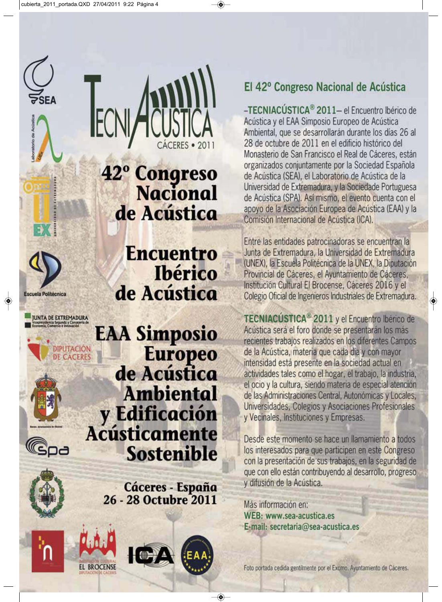

scuela Politécnica

**UNTA DE EXTREMADURA**<br>Vicepresidencia Segunda y Consejería d

DIPUTACIÓN

**DE CACERES** 

42° Congreso<br>Nacional de Acústica

ECI

**Encuentro Ibérico** de Acústica

**EAA Simposio** Europeo de Acústica **Ambiental** y Edificación **Acústicamente Sostenible** 

> Cáceres - España 26 - 28 Octubre 2011







### El 42º Congreso Nacional de Acústica

-TECNIACÚSTICA<sup>®</sup> 2011- el Encuentro Ibérico de Acústica y el EAA Simposio Europeo de Acústica Ambiental, que se desarrollarán durante los días 26 al 28 de octubre de 2011 en el edificio histórico del Monasterio de San Francisco el Real de Cáceres, están organizados conjuntamente por la Sociedad Española de Acústica (SEA), el Laboratorio de Acústica de la Universidad de Extremadura, y la Sociedade Portuguesa de Acústica (SPA). Así mismo, el evento cuenta con el apoyo de la Asociación Europea de Acústica (EAA) y la Comisión Internacional de Acústica (ICA).

Entre las entidades patrocinadoras se encuentran la Junta de Extremadura, la Universidad de Extremadura (UNEX), la Escuela Politécnica de la UNEX, la Diputación Provincial de Cáceres, el Ayuntamiento de Cáceres, Institución Cultural El Brocense, Cáceres 2016 y el Colegio Oficial de Ingenieros Industriales de Extremadura.

TECNIACÚSTICA<sup>®</sup> 2011 y el Encuentro Ibérico de Acústica será el foro donde se presentarán los más recientes trabajos realizados en los diferentes Campos de la Acústica, materia que cada día y con mayor intensidad está presente en la sociedad actual en actividades tales como el hogar, el trabajo, la industria, el ocio y la cultura, siendo materia de especial atención de las Administraciones Central, Autonómicas y Locales, Universidades, Colegios y Asociaciones Profesionales y Vecinales, Instituciones y Empresas.

Desde este momento se hace un llamamiento a todos los interesados para que participen en este Congreso con la presentación de sus trabajos, en la seguridad de que con ello están contribuyendo al desarrollo, progreso y difusión de la Acústica.

Más información en: WEB: www.sea-acustica.es E-mail: secretaria@sea-acustica.es

Foto portada cedida gentilmente por el Excmo. Ayuntamiento de Cáceres.